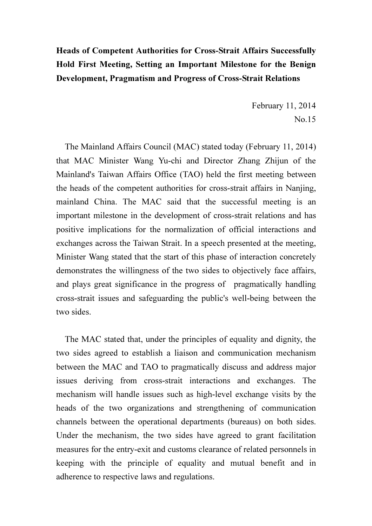## Heads of Competent Authorities for Cross-Strait Affairs Successfully Hold First Meeting, Setting an Important Milestone for the Benign Development, Pragmatism and Progress of Cross-Strait Relations

February 11, 2014 No.15

 The Mainland Affairs Council (MAC) stated today (February 11, 2014) that MAC Minister Wang Yu-chi and Director Zhang Zhijun of the Mainland's Taiwan Affairs Office (TAO) held the first meeting between the heads of the competent authorities for cross-strait affairs in Nanjing, mainland China. The MAC said that the successful meeting is an important milestone in the development of cross-strait relations and has positive implications for the normalization of official interactions and exchanges across the Taiwan Strait. In a speech presented at the meeting, Minister Wang stated that the start of this phase of interaction concretely demonstrates the willingness of the two sides to objectively face affairs, and plays great significance in the progress of pragmatically handling cross-strait issues and safeguarding the public's well-being between the two sides.

 The MAC stated that, under the principles of equality and dignity, the two sides agreed to establish a liaison and communication mechanism between the MAC and TAO to pragmatically discuss and address major issues deriving from cross-strait interactions and exchanges. The mechanism will handle issues such as high-level exchange visits by the heads of the two organizations and strengthening of communication channels between the operational departments (bureaus) on both sides. Under the mechanism, the two sides have agreed to grant facilitation measures for the entry-exit and customs clearance of related personnels in keeping with the principle of equality and mutual benefit and in adherence to respective laws and regulations.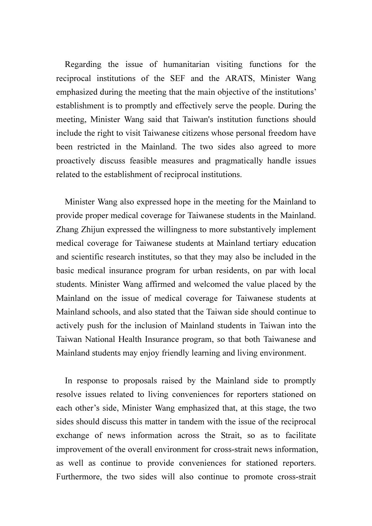Regarding the issue of humanitarian visiting functions for the reciprocal institutions of the SEF and the ARATS, Minister Wang emphasized during the meeting that the main objective of the institutions' establishment is to promptly and effectively serve the people. During the meeting, Minister Wang said that Taiwan's institution functions should include the right to visit Taiwanese citizens whose personal freedom have been restricted in the Mainland. The two sides also agreed to more proactively discuss feasible measures and pragmatically handle issues related to the establishment of reciprocal institutions.

 Minister Wang also expressed hope in the meeting for the Mainland to provide proper medical coverage for Taiwanese students in the Mainland. Zhang Zhijun expressed the willingness to more substantively implement medical coverage for Taiwanese students at Mainland tertiary education and scientific research institutes, so that they may also be included in the basic medical insurance program for urban residents, on par with local students. Minister Wang affirmed and welcomed the value placed by the Mainland on the issue of medical coverage for Taiwanese students at Mainland schools, and also stated that the Taiwan side should continue to actively push for the inclusion of Mainland students in Taiwan into the Taiwan National Health Insurance program, so that both Taiwanese and Mainland students may enjoy friendly learning and living environment.

In response to proposals raised by the Mainland side to promptly resolve issues related to living conveniences for reporters stationed on each other's side, Minister Wang emphasized that, at this stage, the two sides should discuss this matter in tandem with the issue of the reciprocal exchange of news information across the Strait, so as to facilitate improvement of the overall environment for cross-strait news information, as well as continue to provide conveniences for stationed reporters. Furthermore, the two sides will also continue to promote cross-strait